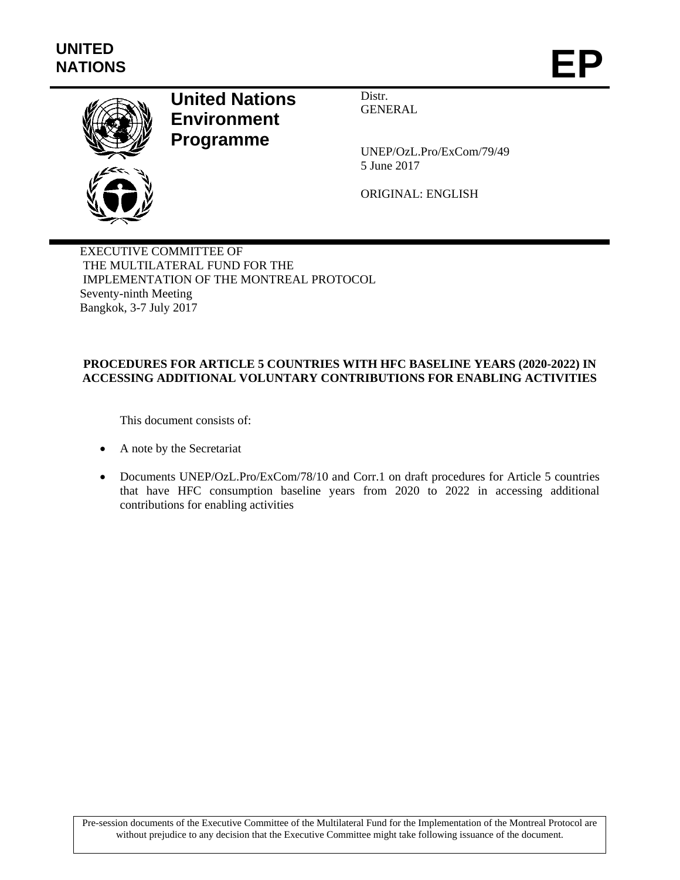

# **United Nations Environment Programme**

Distr. GENERAL

UNEP/OzL.Pro/ExCom/79/49 5 June 2017

ORIGINAL: ENGLISH

EXECUTIVE COMMITTEE OF THE MULTILATERAL FUND FOR THE IMPLEMENTATION OF THE MONTREAL PROTOCOL Seventy-ninth Meeting Bangkok, 3-7 July 2017

# **PROCEDURES FOR ARTICLE 5 COUNTRIES WITH HFC BASELINE YEARS (2020-2022) IN ACCESSING ADDITIONAL VOLUNTARY CONTRIBUTIONS FOR ENABLING ACTIVITIES**

This document consists of:

- A note by the Secretariat
- Documents UNEP/OzL.Pro/ExCom/78/10 and Corr.1 on draft procedures for Article 5 countries that have HFC consumption baseline years from 2020 to 2022 in accessing additional contributions for enabling activities

Pre-session documents of the Executive Committee of the Multilateral Fund for the Implementation of the Montreal Protocol are without prejudice to any decision that the Executive Committee might take following issuance of the document.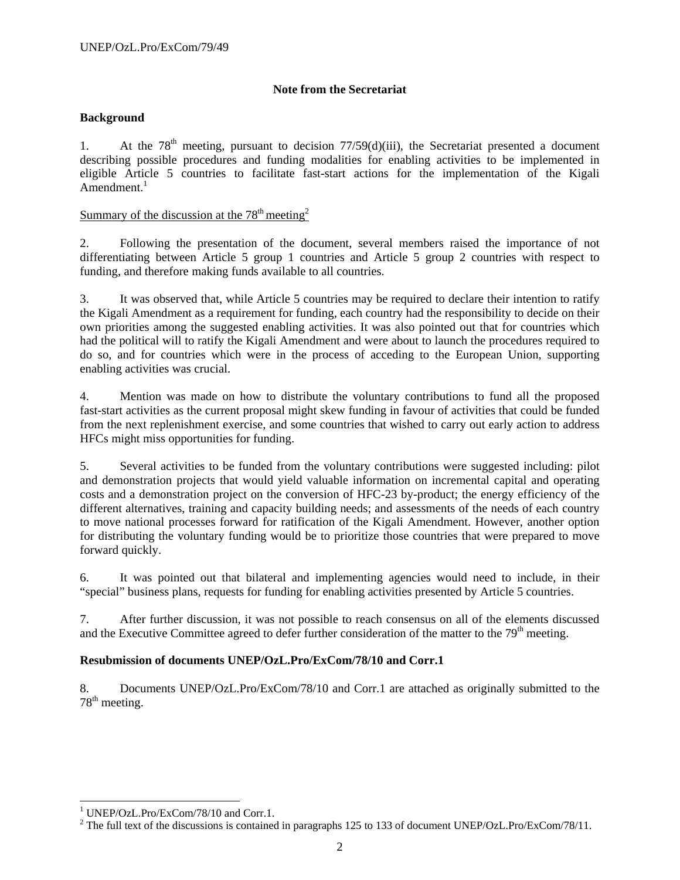### **Note from the Secretariat**

### **Background**

1. At the  $78<sup>th</sup>$  meeting, pursuant to decision  $77/59(d)(iii)$ , the Secretariat presented a document describing possible procedures and funding modalities for enabling activities to be implemented in eligible Article 5 countries to facilitate fast-start actions for the implementation of the Kigali Amendment. $1$ 

# Summary of the discussion at the  $78<sup>th</sup>$  meeting<sup>2</sup>

2. Following the presentation of the document, several members raised the importance of not differentiating between Article 5 group 1 countries and Article 5 group 2 countries with respect to funding, and therefore making funds available to all countries.

3. It was observed that, while Article 5 countries may be required to declare their intention to ratify the Kigali Amendment as a requirement for funding, each country had the responsibility to decide on their own priorities among the suggested enabling activities. It was also pointed out that for countries which had the political will to ratify the Kigali Amendment and were about to launch the procedures required to do so, and for countries which were in the process of acceding to the European Union, supporting enabling activities was crucial.

4. Mention was made on how to distribute the voluntary contributions to fund all the proposed fast-start activities as the current proposal might skew funding in favour of activities that could be funded from the next replenishment exercise, and some countries that wished to carry out early action to address HFCs might miss opportunities for funding.

5. Several activities to be funded from the voluntary contributions were suggested including: pilot and demonstration projects that would yield valuable information on incremental capital and operating costs and a demonstration project on the conversion of HFC-23 by-product; the energy efficiency of the different alternatives, training and capacity building needs; and assessments of the needs of each country to move national processes forward for ratification of the Kigali Amendment. However, another option for distributing the voluntary funding would be to prioritize those countries that were prepared to move forward quickly.

6. It was pointed out that bilateral and implementing agencies would need to include, in their "special" business plans, requests for funding for enabling activities presented by Article 5 countries.

7. After further discussion, it was not possible to reach consensus on all of the elements discussed and the Executive Committee agreed to defer further consideration of the matter to the 79<sup>th</sup> meeting.

### **Resubmission of documents UNEP/OzL.Pro/ExCom/78/10 and Corr.1**

8. Documents UNEP/OzL.Pro/ExCom/78/10 and Corr.1 are attached as originally submitted to the  $78<sup>th</sup>$  meeting.

l

<sup>1</sup> UNEP/OzL.Pro/ExCom/78/10 and Corr.1.

<sup>&</sup>lt;sup>2</sup> The full text of the discussions is contained in paragraphs 125 to 133 of document UNEP/OzL.Pro/ExCom/78/11.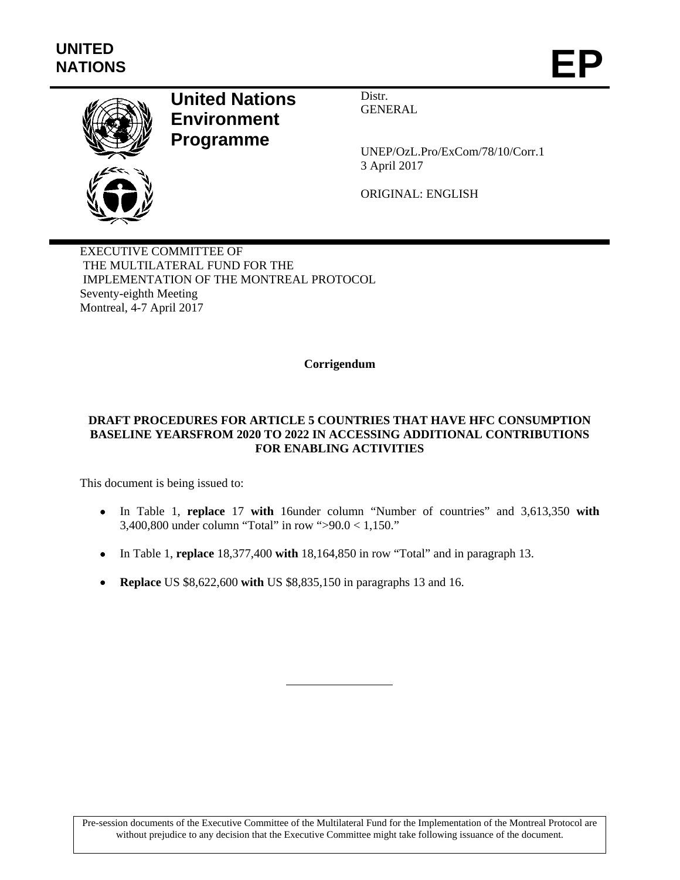

# **United Nations Environment Programme**

Distr. GENERAL

UNEP/OzL.Pro/ExCom/78/10/Corr.1 3 April 2017

ORIGINAL: ENGLISH

EXECUTIVE COMMITTEE OF THE MULTILATERAL FUND FOR THE IMPLEMENTATION OF THE MONTREAL PROTOCOL Seventy-eighth Meeting Montreal, 4-7 April 2017

### **Corrigendum**

### **DRAFT PROCEDURES FOR ARTICLE 5 COUNTRIES THAT HAVE HFC CONSUMPTION BASELINE YEARSFROM 2020 TO 2022 IN ACCESSING ADDITIONAL CONTRIBUTIONS FOR ENABLING ACTIVITIES**

This document is being issued to:

- In Table 1, **replace** 17 **with** 16under column "Number of countries" and 3,613,350 **with** 3,400,800 under column "Total" in row ">90.0 < 1,150."
- In Table 1, **replace** 18,377,400 **with** 18,164,850 in row "Total" and in paragraph 13.
- **Replace** US \$8,622,600 **with** US \$8,835,150 in paragraphs 13 and 16.

Pre-session documents of the Executive Committee of the Multilateral Fund for the Implementation of the Montreal Protocol are without prejudice to any decision that the Executive Committee might take following issuance of the document.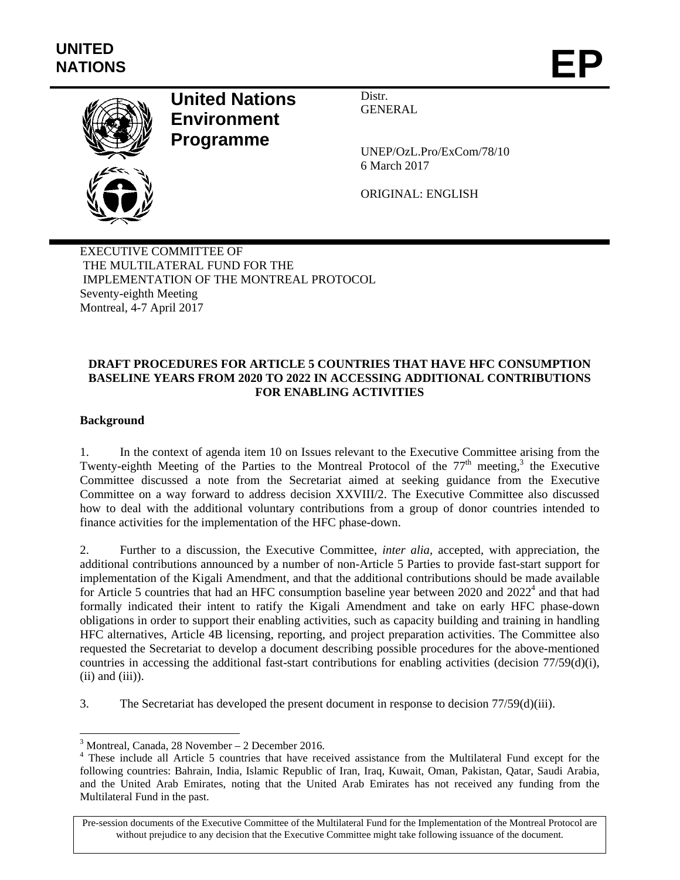

# **United Nations Environment Programme**

Distr. GENERAL

UNEP/OzL.Pro/ExCom/78/10 6 March 2017

ORIGINAL: ENGLISH

EXECUTIVE COMMITTEE OF THE MULTILATERAL FUND FOR THE IMPLEMENTATION OF THE MONTREAL PROTOCOL Seventy-eighth Meeting Montreal, 4-7 April 2017

# **DRAFT PROCEDURES FOR ARTICLE 5 COUNTRIES THAT HAVE HFC CONSUMPTION BASELINE YEARS FROM 2020 TO 2022 IN ACCESSING ADDITIONAL CONTRIBUTIONS FOR ENABLING ACTIVITIES**

### **Background**

l

1. In the context of agenda item 10 on Issues relevant to the Executive Committee arising from the Twenty-eighth Meeting of the Parties to the Montreal Protocol of the  $77<sup>th</sup>$  meeting,<sup>3</sup> the Executive Committee discussed a note from the Secretariat aimed at seeking guidance from the Executive Committee on a way forward to address decision XXVIII/2. The Executive Committee also discussed how to deal with the additional voluntary contributions from a group of donor countries intended to finance activities for the implementation of the HFC phase-down.

2. Further to a discussion, the Executive Committee, *inter alia,* accepted, with appreciation, the additional contributions announced by a number of non-Article 5 Parties to provide fast-start support for implementation of the Kigali Amendment, and that the additional contributions should be made available for Article 5 countries that had an HFC consumption baseline year between 2020 and  $2022<sup>4</sup>$  and that had formally indicated their intent to ratify the Kigali Amendment and take on early HFC phase-down obligations in order to support their enabling activities, such as capacity building and training in handling HFC alternatives, Article 4B licensing, reporting, and project preparation activities. The Committee also requested the Secretariat to develop a document describing possible procedures for the above-mentioned countries in accessing the additional fast-start contributions for enabling activities (decision 77/59(d)(i),  $(ii)$  and  $(iii)$ ).

3. The Secretariat has developed the present document in response to decision 77/59(d)(iii).

Pre-session documents of the Executive Committee of the Multilateral Fund for the Implementation of the Montreal Protocol are without prejudice to any decision that the Executive Committee might take following issuance of the document.

<sup>3</sup> Montreal, Canada, 28 November – 2 December 2016.

<sup>&</sup>lt;sup>4</sup> These include all Article 5 countries that have received assistance from the Multilateral Fund except for the following countries: Bahrain, India, Islamic Republic of Iran, Iraq, Kuwait, Oman, Pakistan, Qatar, Saudi Arabia, and the United Arab Emirates, noting that the United Arab Emirates has not received any funding from the Multilateral Fund in the past.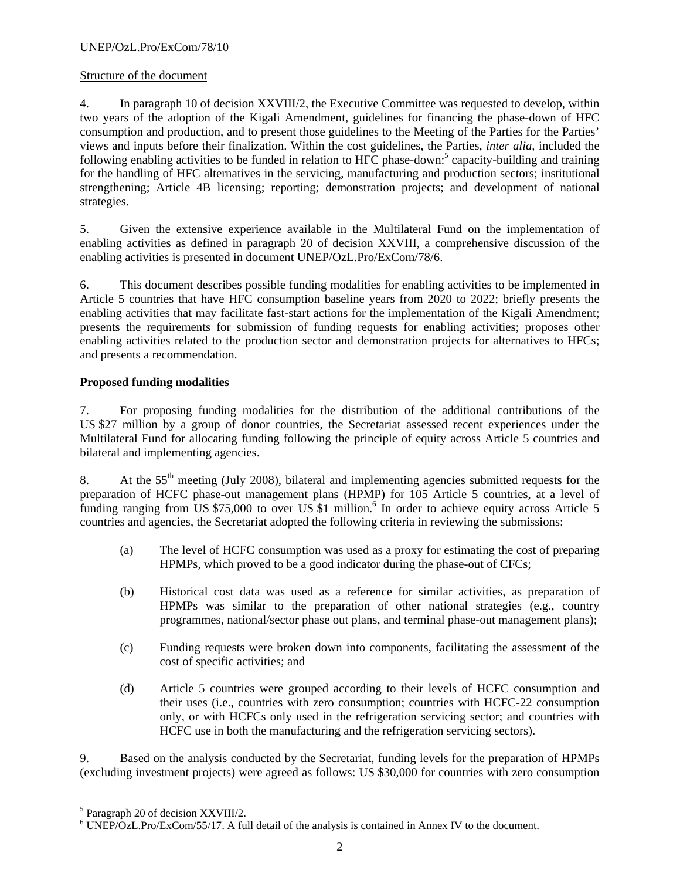### Structure of the document

4. In paragraph 10 of decision XXVIII/2, the Executive Committee was requested to develop, within two years of the adoption of the Kigali Amendment, guidelines for financing the phase-down of HFC consumption and production, and to present those guidelines to the Meeting of the Parties for the Parties' views and inputs before their finalization. Within the cost guidelines, the Parties, *inter alia,* included the following enabling activities to be funded in relation to HFC phase-down:<sup>5</sup> capacity-building and training for the handling of HFC alternatives in the servicing, manufacturing and production sectors; institutional strengthening; Article 4B licensing; reporting; demonstration projects; and development of national strategies.

5. Given the extensive experience available in the Multilateral Fund on the implementation of enabling activities as defined in paragraph 20 of decision XXVIII, a comprehensive discussion of the enabling activities is presented in document UNEP/OzL.Pro/ExCom/78/6.

6. This document describes possible funding modalities for enabling activities to be implemented in Article 5 countries that have HFC consumption baseline years from 2020 to 2022; briefly presents the enabling activities that may facilitate fast-start actions for the implementation of the Kigali Amendment; presents the requirements for submission of funding requests for enabling activities; proposes other enabling activities related to the production sector and demonstration projects for alternatives to HFCs; and presents a recommendation.

# **Proposed funding modalities**

7. For proposing funding modalities for the distribution of the additional contributions of the US \$27 million by a group of donor countries, the Secretariat assessed recent experiences under the Multilateral Fund for allocating funding following the principle of equity across Article 5 countries and bilateral and implementing agencies.

8. At the  $55<sup>th</sup>$  meeting (July 2008), bilateral and implementing agencies submitted requests for the preparation of HCFC phase-out management plans (HPMP) for 105 Article 5 countries, at a level of funding ranging from US \$75,000 to over US \$1 million.<sup>6</sup> In order to achieve equity across Article 5 countries and agencies, the Secretariat adopted the following criteria in reviewing the submissions:

- (a) The level of HCFC consumption was used as a proxy for estimating the cost of preparing HPMPs, which proved to be a good indicator during the phase-out of CFCs;
- (b) Historical cost data was used as a reference for similar activities, as preparation of HPMPs was similar to the preparation of other national strategies (e.g., country programmes, national/sector phase out plans, and terminal phase-out management plans);
- (c) Funding requests were broken down into components, facilitating the assessment of the cost of specific activities; and
- (d) Article 5 countries were grouped according to their levels of HCFC consumption and their uses (i.e., countries with zero consumption; countries with HCFC-22 consumption only, or with HCFCs only used in the refrigeration servicing sector; and countries with HCFC use in both the manufacturing and the refrigeration servicing sectors).

9. Based on the analysis conducted by the Secretariat, funding levels for the preparation of HPMPs (excluding investment projects) were agreed as follows: US \$30,000 for countries with zero consumption

l

<sup>&</sup>lt;sup>5</sup> Paragraph 20 of decision XXVIII/2.

 $6$  UNEP/OzL.Pro/ExCom/55/17. A full detail of the analysis is contained in Annex IV to the document.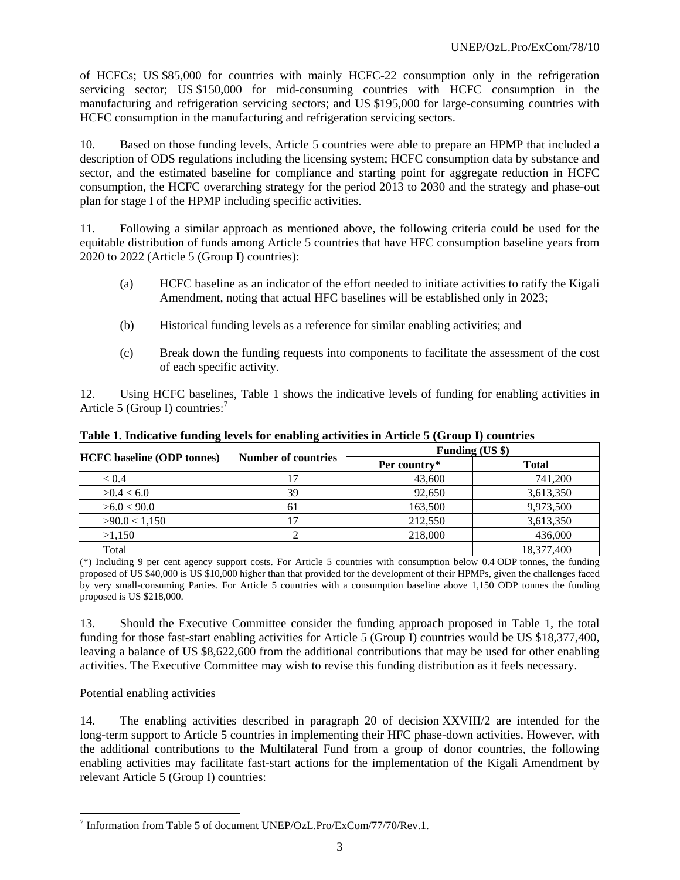of HCFCs; US \$85,000 for countries with mainly HCFC-22 consumption only in the refrigeration servicing sector; US \$150,000 for mid-consuming countries with HCFC consumption in the manufacturing and refrigeration servicing sectors; and US \$195,000 for large-consuming countries with HCFC consumption in the manufacturing and refrigeration servicing sectors.

10. Based on those funding levels, Article 5 countries were able to prepare an HPMP that included a description of ODS regulations including the licensing system; HCFC consumption data by substance and sector, and the estimated baseline for compliance and starting point for aggregate reduction in HCFC consumption, the HCFC overarching strategy for the period 2013 to 2030 and the strategy and phase-out plan for stage I of the HPMP including specific activities.

11. Following a similar approach as mentioned above, the following criteria could be used for the equitable distribution of funds among Article 5 countries that have HFC consumption baseline years from 2020 to 2022 (Article 5 (Group I) countries):

- (a) HCFC baseline as an indicator of the effort needed to initiate activities to ratify the Kigali Amendment, noting that actual HFC baselines will be established only in 2023;
- (b) Historical funding levels as a reference for similar enabling activities; and
- (c) Break down the funding requests into components to facilitate the assessment of the cost of each specific activity.

12. Using HCFC baselines, Table 1 shows the indicative levels of funding for enabling activities in Article 5 (Group I) countries:<sup>7</sup>

| <b>HCFC</b> baseline (ODP tonnes) | <b>Number of countries</b> | Funding (US \$) |              |
|-----------------------------------|----------------------------|-----------------|--------------|
|                                   |                            | Per country*    | <b>Total</b> |
| < 0.4                             |                            | 43,600          | 741,200      |
| >0.4 < 6.0                        | 39                         | 92,650          | 3,613,350    |
| >6.0 < 90.0                       | 61                         | 163,500         | 9,973,500    |
| >90.0 < 1,150                     |                            | 212,550         | 3,613,350    |
| >1.150                            |                            | 218,000         | 436,000      |
| Total                             |                            |                 | 18,377,400   |

**Table 1. Indicative funding levels for enabling activities in Article 5 (Group I) countries** 

(\*) Including 9 per cent agency support costs. For Article 5 countries with consumption below 0.4 ODP tonnes, the funding proposed of US \$40,000 is US \$10,000 higher than that provided for the development of their HPMPs, given the challenges faced by very small-consuming Parties. For Article 5 countries with a consumption baseline above 1,150 ODP tonnes the funding proposed is US \$218,000.

13. Should the Executive Committee consider the funding approach proposed in Table 1, the total funding for those fast-start enabling activities for Article 5 (Group I) countries would be US \$18,377,400, leaving a balance of US \$8,622,600 from the additional contributions that may be used for other enabling activities. The Executive Committee may wish to revise this funding distribution as it feels necessary.

# Potential enabling activities

14. The enabling activities described in paragraph 20 of decision XXVIII/2 are intended for the long-term support to Article 5 countries in implementing their HFC phase-down activities. However, with the additional contributions to the Multilateral Fund from a group of donor countries, the following enabling activities may facilitate fast-start actions for the implementation of the Kigali Amendment by relevant Article 5 (Group I) countries:

 7 Information from Table 5 of document UNEP/OzL.Pro/ExCom/77/70/Rev.1.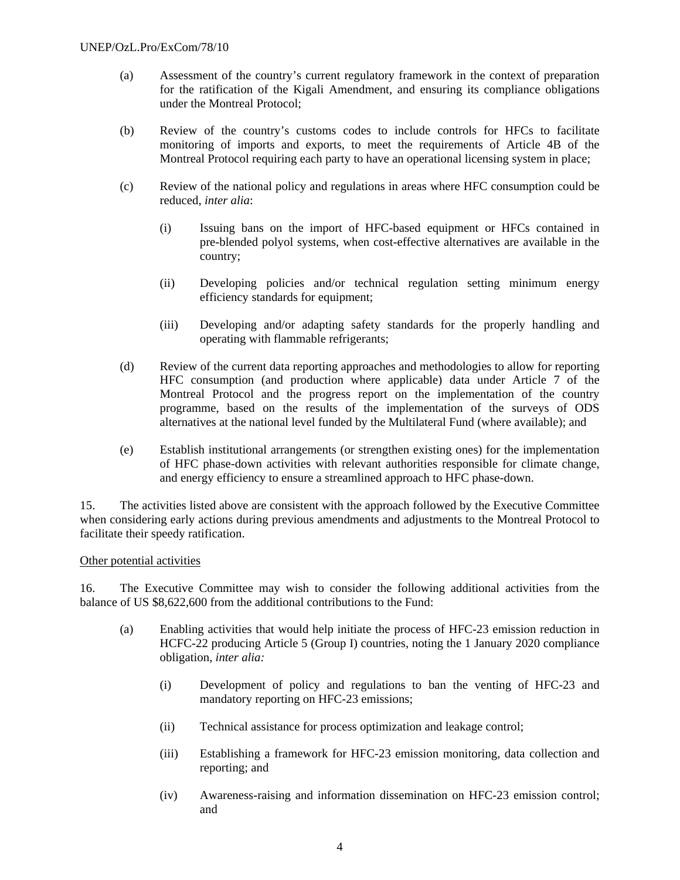- (a) Assessment of the country's current regulatory framework in the context of preparation for the ratification of the Kigali Amendment, and ensuring its compliance obligations under the Montreal Protocol;
- (b) Review of the country's customs codes to include controls for HFCs to facilitate monitoring of imports and exports, to meet the requirements of Article 4B of the Montreal Protocol requiring each party to have an operational licensing system in place;
- (c) Review of the national policy and regulations in areas where HFC consumption could be reduced, *inter alia*:
	- (i) Issuing bans on the import of HFC-based equipment or HFCs contained in pre-blended polyol systems, when cost-effective alternatives are available in the country;
	- (ii) Developing policies and/or technical regulation setting minimum energy efficiency standards for equipment;
	- (iii) Developing and/or adapting safety standards for the properly handling and operating with flammable refrigerants;
- (d) Review of the current data reporting approaches and methodologies to allow for reporting HFC consumption (and production where applicable) data under Article 7 of the Montreal Protocol and the progress report on the implementation of the country programme, based on the results of the implementation of the surveys of ODS alternatives at the national level funded by the Multilateral Fund (where available); and
- (e) Establish institutional arrangements (or strengthen existing ones) for the implementation of HFC phase-down activities with relevant authorities responsible for climate change, and energy efficiency to ensure a streamlined approach to HFC phase-down.

15. The activities listed above are consistent with the approach followed by the Executive Committee when considering early actions during previous amendments and adjustments to the Montreal Protocol to facilitate their speedy ratification.

### Other potential activities

16. The Executive Committee may wish to consider the following additional activities from the balance of US \$8,622,600 from the additional contributions to the Fund:

- (a) Enabling activities that would help initiate the process of HFC-23 emission reduction in HCFC-22 producing Article 5 (Group I) countries, noting the 1 January 2020 compliance obligation, *inter alia:*
	- (i) Development of policy and regulations to ban the venting of HFC-23 and mandatory reporting on HFC-23 emissions;
	- (ii) Technical assistance for process optimization and leakage control;
	- (iii) Establishing a framework for HFC-23 emission monitoring, data collection and reporting; and
	- (iv) Awareness-raising and information dissemination on HFC-23 emission control; and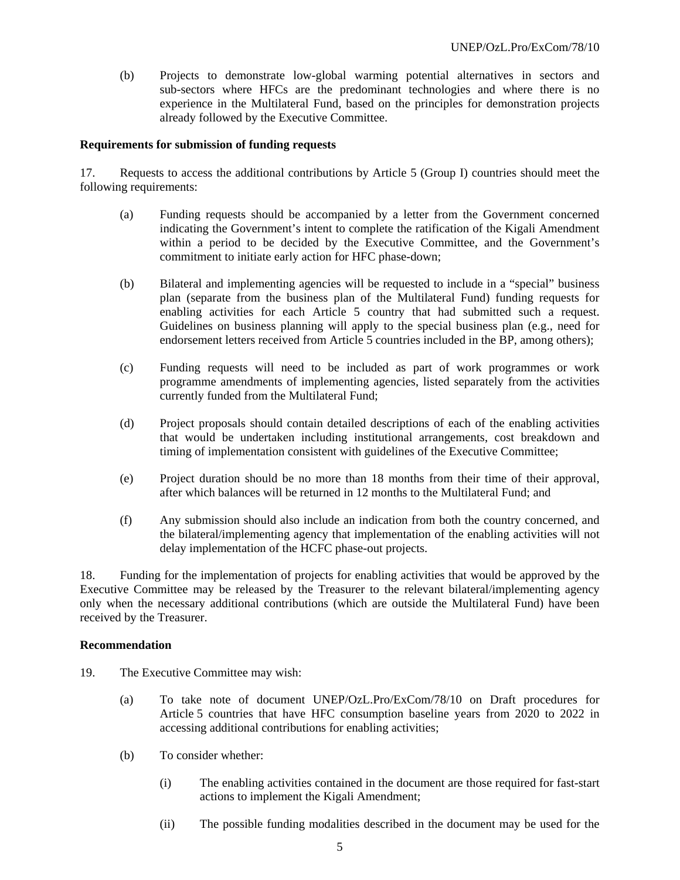(b) Projects to demonstrate low-global warming potential alternatives in sectors and sub-sectors where HFCs are the predominant technologies and where there is no experience in the Multilateral Fund, based on the principles for demonstration projects already followed by the Executive Committee.

#### **Requirements for submission of funding requests**

17. Requests to access the additional contributions by Article 5 (Group I) countries should meet the following requirements:

- (a) Funding requests should be accompanied by a letter from the Government concerned indicating the Government's intent to complete the ratification of the Kigali Amendment within a period to be decided by the Executive Committee, and the Government's commitment to initiate early action for HFC phase-down;
- (b) Bilateral and implementing agencies will be requested to include in a "special" business plan (separate from the business plan of the Multilateral Fund) funding requests for enabling activities for each Article 5 country that had submitted such a request. Guidelines on business planning will apply to the special business plan (e.g., need for endorsement letters received from Article 5 countries included in the BP, among others);
- (c) Funding requests will need to be included as part of work programmes or work programme amendments of implementing agencies, listed separately from the activities currently funded from the Multilateral Fund;
- (d) Project proposals should contain detailed descriptions of each of the enabling activities that would be undertaken including institutional arrangements, cost breakdown and timing of implementation consistent with guidelines of the Executive Committee;
- (e) Project duration should be no more than 18 months from their time of their approval, after which balances will be returned in 12 months to the Multilateral Fund; and
- (f) Any submission should also include an indication from both the country concerned, and the bilateral/implementing agency that implementation of the enabling activities will not delay implementation of the HCFC phase-out projects.

18. Funding for the implementation of projects for enabling activities that would be approved by the Executive Committee may be released by the Treasurer to the relevant bilateral/implementing agency only when the necessary additional contributions (which are outside the Multilateral Fund) have been received by the Treasurer.

#### **Recommendation**

- 19. The Executive Committee may wish:
	- (a) To take note of document UNEP/OzL.Pro/ExCom/78/10 on Draft procedures for Article 5 countries that have HFC consumption baseline years from 2020 to 2022 in accessing additional contributions for enabling activities;
	- (b) To consider whether:
		- (i) The enabling activities contained in the document are those required for fast-start actions to implement the Kigali Amendment;
		- (ii) The possible funding modalities described in the document may be used for the